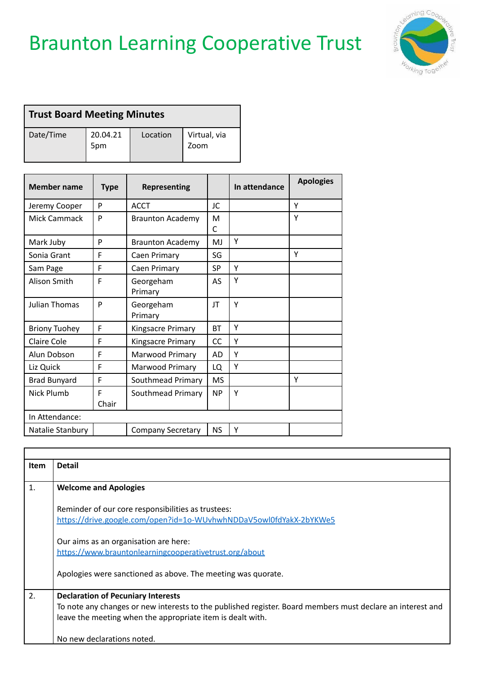## Braunton Learning Cooperative Trust



| Trust Board Meeting Minutes |                 |          |                      |
|-----------------------------|-----------------|----------|----------------------|
| Date/Time                   | 20.04.21<br>5pm | Location | Virtual, via<br>Zoom |

| <b>Member name</b>   | <b>Type</b> | <b>Representing</b>      |           | In attendance | <b>Apologies</b> |
|----------------------|-------------|--------------------------|-----------|---------------|------------------|
| Jeremy Cooper        | P           | <b>ACCT</b>              | JC        |               | Y                |
| Mick Cammack         | P           | <b>Braunton Academy</b>  | M<br>C    |               | Υ                |
| Mark Juby            | P           | <b>Braunton Academy</b>  | MJ        | Υ             |                  |
| Sonia Grant          | F           | Caen Primary             | SG        |               | Y                |
| Sam Page             | F           | Caen Primary             | <b>SP</b> | Υ             |                  |
| Alison Smith         | F           | Georgeham<br>Primary     | AS        | Υ             |                  |
| <b>Julian Thomas</b> | P           | Georgeham<br>Primary     | JT        | Υ             |                  |
| <b>Briony Tuohey</b> | F           | Kingsacre Primary        | <b>BT</b> | Υ             |                  |
| Claire Cole          | F           | Kingsacre Primary        | CC        | Υ             |                  |
| Alun Dobson          | F           | Marwood Primary          | AD        | Υ             |                  |
| Liz Quick            | F           | Marwood Primary          | LQ        | Υ             |                  |
| <b>Brad Bunyard</b>  | F           | Southmead Primary        | <b>MS</b> |               | Υ                |
| Nick Plumb           | F<br>Chair  | Southmead Primary        | <b>NP</b> | Υ             |                  |
| In Attendance:       |             |                          |           |               |                  |
| Natalie Stanbury     |             | <b>Company Secretary</b> | <b>NS</b> | Υ             |                  |

| <b>Item</b>  | <b>Detail</b>                                                                                              |
|--------------|------------------------------------------------------------------------------------------------------------|
|              |                                                                                                            |
| $\mathbf{1}$ | <b>Welcome and Apologies</b>                                                                               |
|              | Reminder of our core responsibilities as trustees:                                                         |
|              | https://drive.google.com/open?id=1o-WUvhwhNDDaV5owl0fdYakX-2bYKWe5                                         |
|              | Our aims as an organisation are here:                                                                      |
|              | https://www.brauntonlearningcooperativetrust.org/about                                                     |
|              | Apologies were sanctioned as above. The meeting was quorate.                                               |
| 2.           | <b>Declaration of Pecuniary Interests</b>                                                                  |
|              | To note any changes or new interests to the published register. Board members must declare an interest and |
|              | leave the meeting when the appropriate item is dealt with.                                                 |
|              | No new declarations noted.                                                                                 |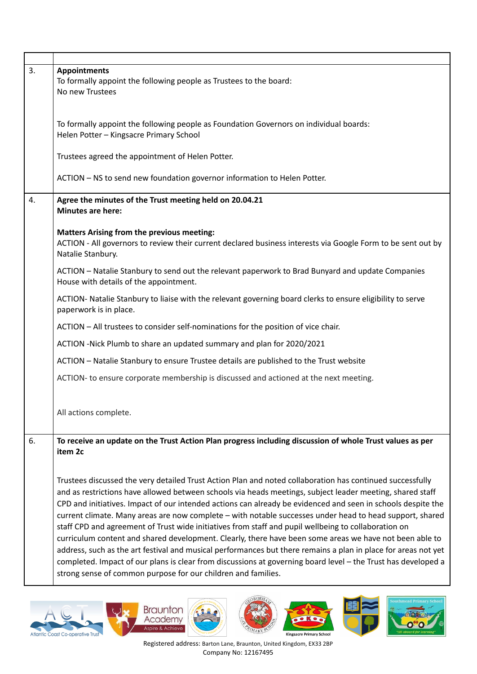| 3. | <b>Appointments</b><br>To formally appoint the following people as Trustees to the board:<br>No new Trustees                                                                                                                                                                                                                                                                                                                                                                                                                                                                                                                                                                                                                                                                                                                                                                                                                                                              |
|----|---------------------------------------------------------------------------------------------------------------------------------------------------------------------------------------------------------------------------------------------------------------------------------------------------------------------------------------------------------------------------------------------------------------------------------------------------------------------------------------------------------------------------------------------------------------------------------------------------------------------------------------------------------------------------------------------------------------------------------------------------------------------------------------------------------------------------------------------------------------------------------------------------------------------------------------------------------------------------|
|    | To formally appoint the following people as Foundation Governors on individual boards:<br>Helen Potter - Kingsacre Primary School                                                                                                                                                                                                                                                                                                                                                                                                                                                                                                                                                                                                                                                                                                                                                                                                                                         |
|    | Trustees agreed the appointment of Helen Potter.                                                                                                                                                                                                                                                                                                                                                                                                                                                                                                                                                                                                                                                                                                                                                                                                                                                                                                                          |
|    | ACTION - NS to send new foundation governor information to Helen Potter.                                                                                                                                                                                                                                                                                                                                                                                                                                                                                                                                                                                                                                                                                                                                                                                                                                                                                                  |
| 4. | Agree the minutes of the Trust meeting held on 20.04.21<br><b>Minutes are here:</b>                                                                                                                                                                                                                                                                                                                                                                                                                                                                                                                                                                                                                                                                                                                                                                                                                                                                                       |
|    | <b>Matters Arising from the previous meeting:</b><br>ACTION - All governors to review their current declared business interests via Google Form to be sent out by<br>Natalie Stanbury.                                                                                                                                                                                                                                                                                                                                                                                                                                                                                                                                                                                                                                                                                                                                                                                    |
|    | ACTION - Natalie Stanbury to send out the relevant paperwork to Brad Bunyard and update Companies<br>House with details of the appointment.                                                                                                                                                                                                                                                                                                                                                                                                                                                                                                                                                                                                                                                                                                                                                                                                                               |
|    | ACTION- Natalie Stanbury to liaise with the relevant governing board clerks to ensure eligibility to serve<br>paperwork is in place.                                                                                                                                                                                                                                                                                                                                                                                                                                                                                                                                                                                                                                                                                                                                                                                                                                      |
|    | ACTION - All trustees to consider self-nominations for the position of vice chair.                                                                                                                                                                                                                                                                                                                                                                                                                                                                                                                                                                                                                                                                                                                                                                                                                                                                                        |
|    | ACTION -Nick Plumb to share an updated summary and plan for 2020/2021                                                                                                                                                                                                                                                                                                                                                                                                                                                                                                                                                                                                                                                                                                                                                                                                                                                                                                     |
|    | ACTION - Natalie Stanbury to ensure Trustee details are published to the Trust website                                                                                                                                                                                                                                                                                                                                                                                                                                                                                                                                                                                                                                                                                                                                                                                                                                                                                    |
|    | ACTION- to ensure corporate membership is discussed and actioned at the next meeting.                                                                                                                                                                                                                                                                                                                                                                                                                                                                                                                                                                                                                                                                                                                                                                                                                                                                                     |
|    | All actions complete.                                                                                                                                                                                                                                                                                                                                                                                                                                                                                                                                                                                                                                                                                                                                                                                                                                                                                                                                                     |
| 6. | To receive an update on the Trust Action Plan progress including discussion of whole Trust values as per<br>item 2c                                                                                                                                                                                                                                                                                                                                                                                                                                                                                                                                                                                                                                                                                                                                                                                                                                                       |
|    | Trustees discussed the very detailed Trust Action Plan and noted collaboration has continued successfully<br>and as restrictions have allowed between schools via heads meetings, subject leader meeting, shared staff<br>CPD and initiatives. Impact of our intended actions can already be evidenced and seen in schools despite the<br>current climate. Many areas are now complete - with notable successes under head to head support, shared<br>staff CPD and agreement of Trust wide initiatives from staff and pupil wellbeing to collaboration on<br>curriculum content and shared development. Clearly, there have been some areas we have not been able to<br>address, such as the art festival and musical performances but there remains a plan in place for areas not yet<br>completed. Impact of our plans is clear from discussions at governing board level - the Trust has developed a<br>strong sense of common purpose for our children and families. |













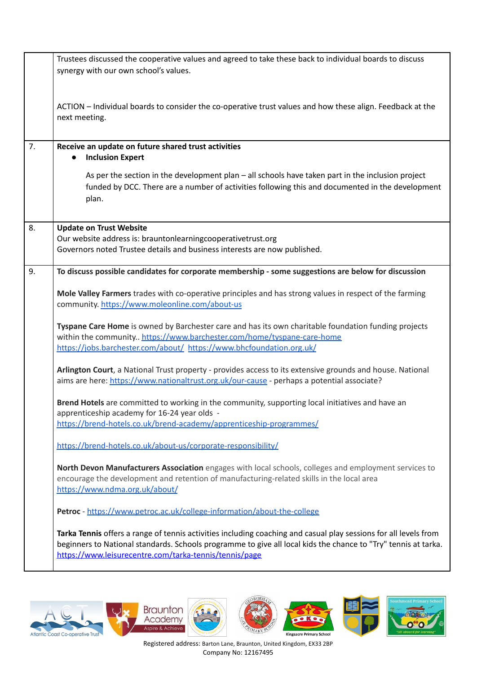|    | Trustees discussed the cooperative values and agreed to take these back to individual boards to discuss<br>synergy with our own school's values.                                                                                                                                             |
|----|----------------------------------------------------------------------------------------------------------------------------------------------------------------------------------------------------------------------------------------------------------------------------------------------|
|    | ACTION - Individual boards to consider the co-operative trust values and how these align. Feedback at the<br>next meeting.                                                                                                                                                                   |
| 7. | Receive an update on future shared trust activities<br><b>Inclusion Expert</b>                                                                                                                                                                                                               |
|    | As per the section in the development plan - all schools have taken part in the inclusion project<br>funded by DCC. There are a number of activities following this and documented in the development<br>plan.                                                                               |
| 8. | <b>Update on Trust Website</b><br>Our website address is: brauntonlearningcooperativetrust.org<br>Governors noted Trustee details and business interests are now published.                                                                                                                  |
| 9. | To discuss possible candidates for corporate membership - some suggestions are below for discussion                                                                                                                                                                                          |
|    | Mole Valley Farmers trades with co-operative principles and has strong values in respect of the farming<br>community. https://www.moleonline.com/about-us                                                                                                                                    |
|    | Tyspane Care Home is owned by Barchester care and has its own charitable foundation funding projects<br>within the community https://www.barchester.com/home/tyspane-care-home<br>https://jobs.barchester.com/about/ https://www.bhcfoundation.org.uk/                                       |
|    | Arlington Court, a National Trust property - provides access to its extensive grounds and house. National<br>aims are here: https://www.nationaltrust.org.uk/our-cause - perhaps a potential associate?                                                                                      |
|    | Brend Hotels are committed to working in the community, supporting local initiatives and have an<br>apprenticeship academy for 16-24 year olds -<br>https://brend-hotels.co.uk/brend-academy/apprenticeship-programmes/                                                                      |
|    | https://brend-hotels.co.uk/about-us/corporate-responsibility/                                                                                                                                                                                                                                |
|    | North Devon Manufacturers Association engages with local schools, colleges and employment services to<br>encourage the development and retention of manufacturing-related skills in the local area<br>https://www.ndma.org.uk/about/                                                         |
|    | Petroc - https://www.petroc.ac.uk/college-information/about-the-college                                                                                                                                                                                                                      |
|    | Tarka Tennis offers a range of tennis activities including coaching and casual play sessions for all levels from<br>beginners to National standards. Schools programme to give all local kids the chance to "Try" tennis at tarka.<br>https://www.leisurecentre.com/tarka-tennis/tennis/page |











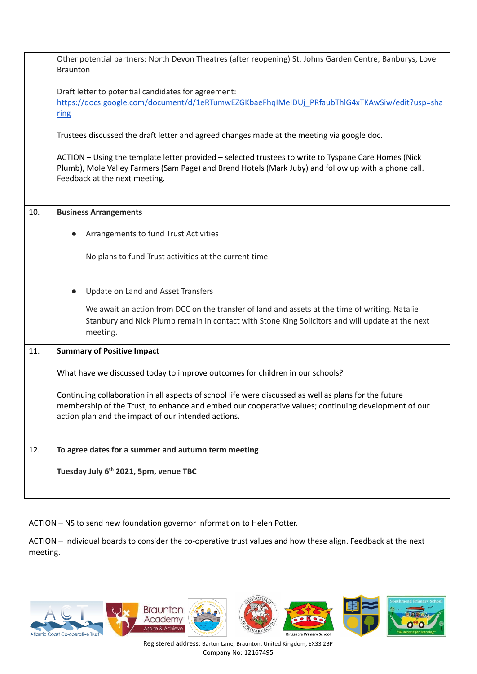|     | Other potential partners: North Devon Theatres (after reopening) St. Johns Garden Centre, Banburys, Love<br><b>Braunton</b>                                                                                                                                         |
|-----|---------------------------------------------------------------------------------------------------------------------------------------------------------------------------------------------------------------------------------------------------------------------|
|     | Draft letter to potential candidates for agreement:<br>https://docs.google.com/document/d/1eRTumwEZGKbaeFhgIMeIDUj PRfaubThlG4xTKAwSiw/edit?usp=sha<br>ring                                                                                                         |
|     | Trustees discussed the draft letter and agreed changes made at the meeting via google doc.                                                                                                                                                                          |
|     | ACTION - Using the template letter provided - selected trustees to write to Tyspane Care Homes (Nick<br>Plumb), Mole Valley Farmers (Sam Page) and Brend Hotels (Mark Juby) and follow up with a phone call.<br>Feedback at the next meeting.                       |
| 10. | <b>Business Arrangements</b>                                                                                                                                                                                                                                        |
|     | Arrangements to fund Trust Activities                                                                                                                                                                                                                               |
|     | No plans to fund Trust activities at the current time.                                                                                                                                                                                                              |
|     | Update on Land and Asset Transfers                                                                                                                                                                                                                                  |
|     | We await an action from DCC on the transfer of land and assets at the time of writing. Natalie<br>Stanbury and Nick Plumb remain in contact with Stone King Solicitors and will update at the next<br>meeting.                                                      |
| 11. | <b>Summary of Positive Impact</b>                                                                                                                                                                                                                                   |
|     | What have we discussed today to improve outcomes for children in our schools?                                                                                                                                                                                       |
|     | Continuing collaboration in all aspects of school life were discussed as well as plans for the future<br>membership of the Trust, to enhance and embed our cooperative values; continuing development of our<br>action plan and the impact of our intended actions. |
| 12. | To agree dates for a summer and autumn term meeting                                                                                                                                                                                                                 |
|     | Tuesday July 6 <sup>th</sup> 2021, 5pm, venue TBC                                                                                                                                                                                                                   |

ACTION – NS to send new foundation governor information to Helen Potter.

ACTION – Individual boards to consider the co-operative trust values and how these align. Feedback at the next meeting.